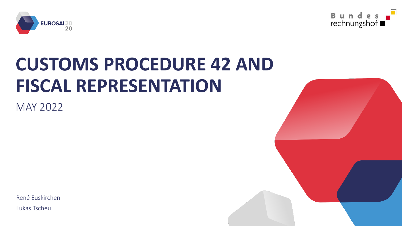



# **CUSTOMS PROCEDURE 42 AND FISCAL REPRESENTATION**

MAY 2022

René Euskirchen

Lukas Tscheu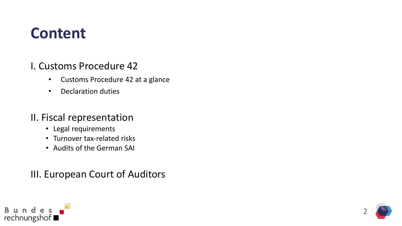#### **Content**

#### I. Customs Procedure 42

- Customs Procedure 42 at a glance
- Declaration duties

#### II. Fiscal representation

- Legal requirements
- Turnover tax-related risks
- Audits of the German SAI

#### III. European Court of Auditors



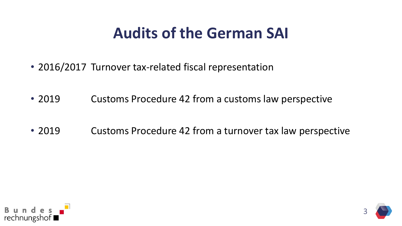#### **Audits of the German SAI**

- 2016/2017 Turnover tax-related fiscal representation
- 2019 Customs Procedure 42 from a customs law perspective
- 2019 Customs Procedure 42 from a turnover tax law perspective



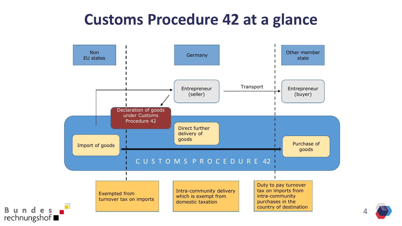#### **Customs Procedure 42 at a glance**



4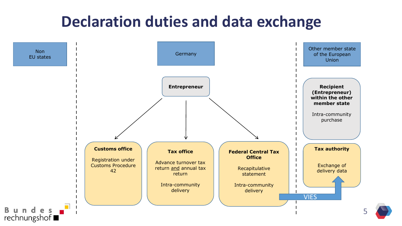#### **Declaration duties and data exchange**

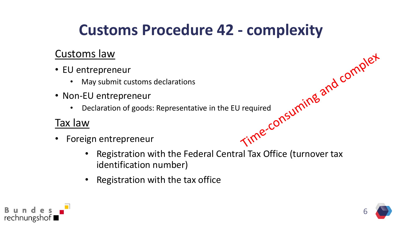### **Customs Procedure 42 - complexity**

#### Customs law

- EU entrepreneur
	- May submit customs declarations
- Non-EU entrepreneur
- vertices and the EU required on-EU entrepreneur<br>• May submit customs declarations<br>• Declaration of goods: Representative in the EU required<br>• Consumed the CU required on the EU required on the CU required on the CU require

#### Tax law

- Foreign entrepreneur
	- Registration with the Federal Central Tax Office (turnover tax identification number)
	- Registration with the tax office



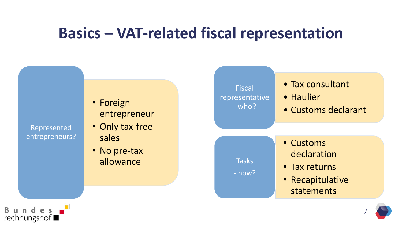#### **Basics – VAT-related fiscal representation**



7

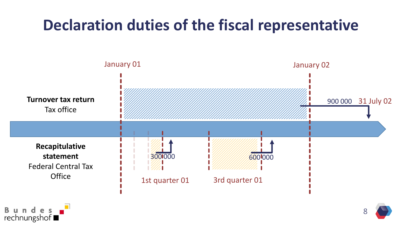## **Declaration duties of the fiscal representative**



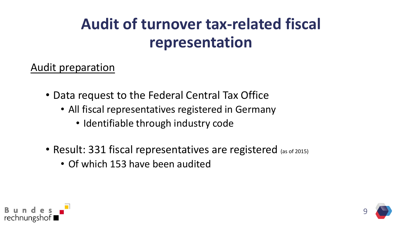## **Audit of turnover tax-related fiscal representation**

#### Audit preparation

- Data request to the Federal Central Tax Office
	- All fiscal representatives registered in Germany
		- Identifiable through industry code
- Result: 331 fiscal representatives are registered (as of 2015)
	- Of which 153 have been audited

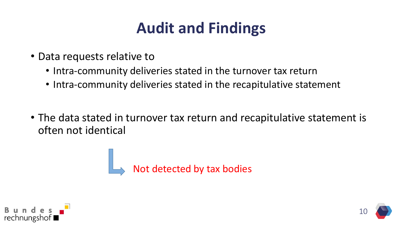## **Audit and Findings**

- Data requests relative to
	- Intra-community deliveries stated in the turnover tax return
	- Intra-community deliveries stated in the recapitulative statement
- The data stated in turnover tax return and recapitulative statement is often not identical

Not detected by tax bodies



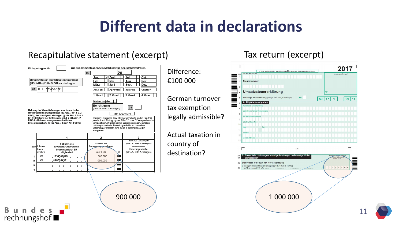#### **Different data in declarations**

#### Recapitulative statement (excerpt) Tax return (excerpt)  $2017$ <sup> $-$ </sup> Einlagebogen Nr. zur Zusammenfassenden Meldung für den Meldezeitraum  $\perp$ Difference: - Bitte weiße Felder ausfüllen oder Zankreuzen. Anleitung beachten 20  $02$ An das Einanzamt Eingangsstempe <u>m manamini manamini m</u> T ا×ا April Juli Okt. Jan. Umsatzsteuer-Identifikationsnummer €100 000 Mai Aug. Nov. **Feb Steuernumme** (USt-IdNr.) Bitte 9 Ziffern eintragen März Juni Sept. Dez. 01 DE 1234567890 Jan/Feb | April/Mai Juli/Aug | Okt/Nov Umsatzsteuererklärung 1. Quart. | 2. Quart. | 3. Quart. | 4. Quart. | German turnover 110 Berichtigte Steuererklärung (falls ja, bitte eine "1" eintragen)  $50$  17 1  $99|11$ Kalenderjahr Berichtigung 03 tax exemption (falls JA, bitte "x" eintragen) Meldung der Warenlieferungen vom Inland in das übrige Gemeinschaftsgebiet (§ 18a Abs. 7 Nr. 1 u. 2 Bitte beachten! UStG), der sonstigen Leistungen (§ 18a Abs. 7 Satz 1<br>Nr. 3 UStG) und der Lieferungen i.S.d. § 25b Abs. 2 legally admissible? Sonstige Leistungen bzw. Dreiecksgeschäfte sind in Spalte 3 UStG im Rahmen innergemeinschaftlicher<br>Dreiecksgeschäfte (§ 18a Abs. 7 Satz 1 Nr. 4 UStG) jeweils durch Eintragung der Ziffer "1" oder "2" entsprechend zu kennzeichnen. Wurden sowohl Warenlieferungen, sonstige Leistungen und/oder Dreiecksgeschäfte an denselben Unternehmer erbracht, sind diese in getrennten Zeilen anzugeben Actual taxation in -1  $\overline{\phantom{a}}$ -3 Sonstige Leistungen  $13$ country of USt-IdNr. des Summe der (falls JA, bitte 1 eintragen) Zeile Länder-Erwerbers/ Unternehmers Bemessungsgrundlagen Dreiecksgeschäfte  $-2-$ ┑ kennin einem anderen EUdestination? zeicher volle EUR (falls JA, bitte 2 eintragen) Mitgliedstaat .C N reie Lieferungen, sonstige Leistungen und uner XIX 1234567890 300.000 É XХ 600.000 叺 0987654321  $\overline{2}$ 32 Steuerfreie Umsätze mit Vorsteuerabzug  $\sqrt{2}$  $\overline{\mathbf{3}}$ I) Innergemeinschaftliche Lieferungen (§ 4 Nr. 1 Buchst. b UStG) 1 0 0 0 0 0 0 an Abnehmer mit USt-IdNr  $\blacksquare$ 900 000 and 000 000 contract to the 1000 000 contract of 1000 000 contract of 1000 000 contract of 1000 000 co B u n d e s<br>rechnungshof

11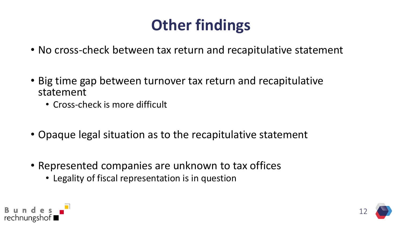## **Other findings**

- No cross-check between tax return and recapitulative statement
- Big time gap between turnover tax return and recapitulative statement
	- Cross-check is more difficult
- Opaque legal situation as to the recapitulative statement
- Represented companies are unknown to tax offices
	- Legality of fiscal representation is in question



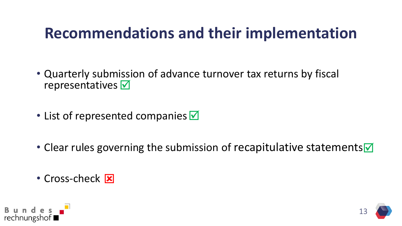#### **Recommendations and their implementation**

- Quarterly submission of advance turnover tax returns by fiscal representatives M
- List of represented companies  $\blacksquare$
- Clear rules governing the submission of recapitulative statements $\blacksquare$
- Cross-check <mark>区</mark>



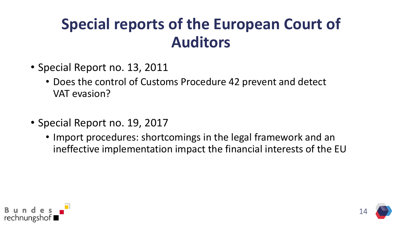## **Special reports of the European Court of Auditors**

- Special Report no. 13, 2011
	- Does the control of Customs Procedure 42 prevent and detect VAT evasion?
- Special Report no. 19, 2017
	- Import procedures: shortcomings in the legal framework and an ineffective implementation impact the financial interests of the EU